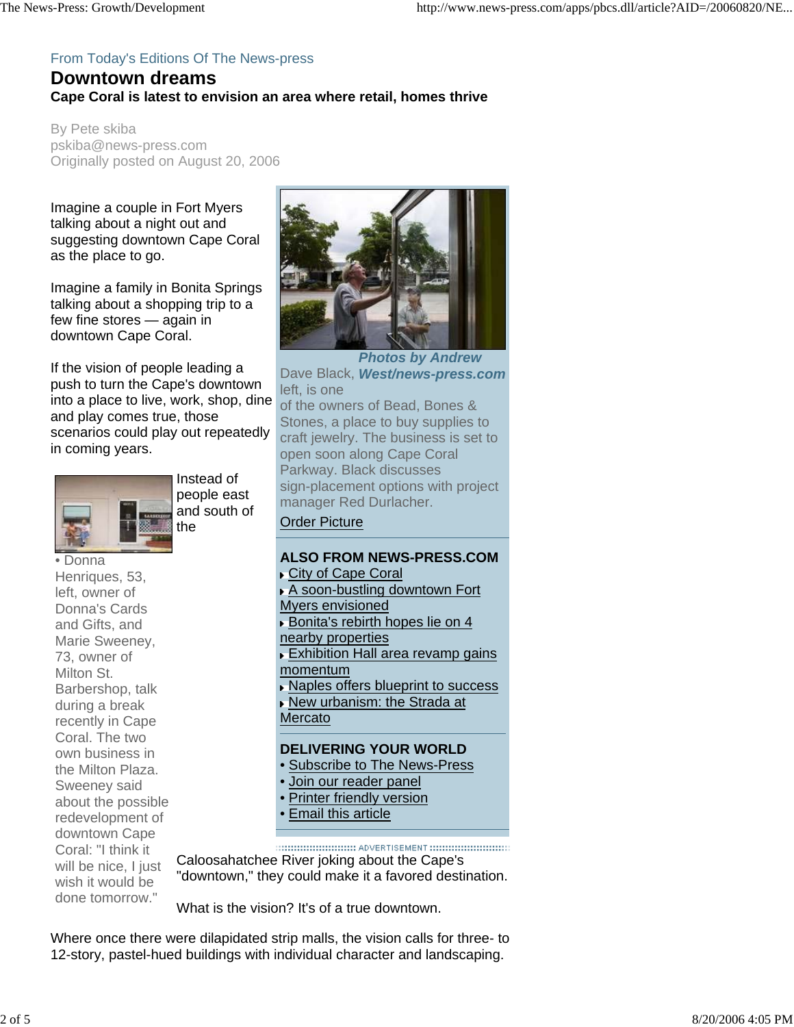## From Today's Editions Of The News-press

## **Downtown dreams Cape Coral is latest to envision an area where retail, homes thrive**

By Pete skiba pskiba@news-press.com Originally posted on August 20, 2006

Imagine a couple in Fort Myers talking about a night out and suggesting downtown Cape Coral as the place to go.

Imagine a family in Bonita Springs talking about a shopping trip to a few fine stores — again in downtown Cape Coral.

If the vision of people leading a push to turn the Cape's downtown into a place to live, work, shop, dine and play comes true, those scenarios could play out repeatedly in coming years.



Instead of people east and south of the

• Donna Henriques, 53, left, owner of Donna's Cards and Gifts, and Marie Sweeney, 73, owner of Milton St. Barbershop, talk during a break recently in Cape Coral. The two own business in the Milton Plaza. Sweeney said about the possible redevelopment of downtown Cape Coral: "I think it will be nice, I just wish it would be done tomorrow."



*Photos by Andrew*  Dave Black, *West/news-press.com* left, is one of the owners of Bead, Bones & Stones, a place to buy supplies to craft jewelry. The business is set to open soon along Cape Coral Parkway. Black discusses sign-placement options with project manager Red Durlacher. Order Picture **ALSO FROM NEWS-PRESS.COM ► City of Cape Coral** 

A soon-bustling downtown Fort Myers envisioned Bonita's rebirth hopes lie on 4 nearby properties Exhibition Hall area revamp gains momentum ▶ Naples offers blueprint to success New urbanism: the Strada at Mercato **DELIVERING YOUR WORLD** • Subscribe to The News-Press • Join our reader panel

- Printer friendly version
- Email this article

Caloosahatchee River joking about the Cape's "downtown," they could make it a favored destination.

What is the vision? It's of a true downtown.

Where once there were dilapidated strip malls, the vision calls for three- to 12-story, pastel-hued buildings with individual character and landscaping.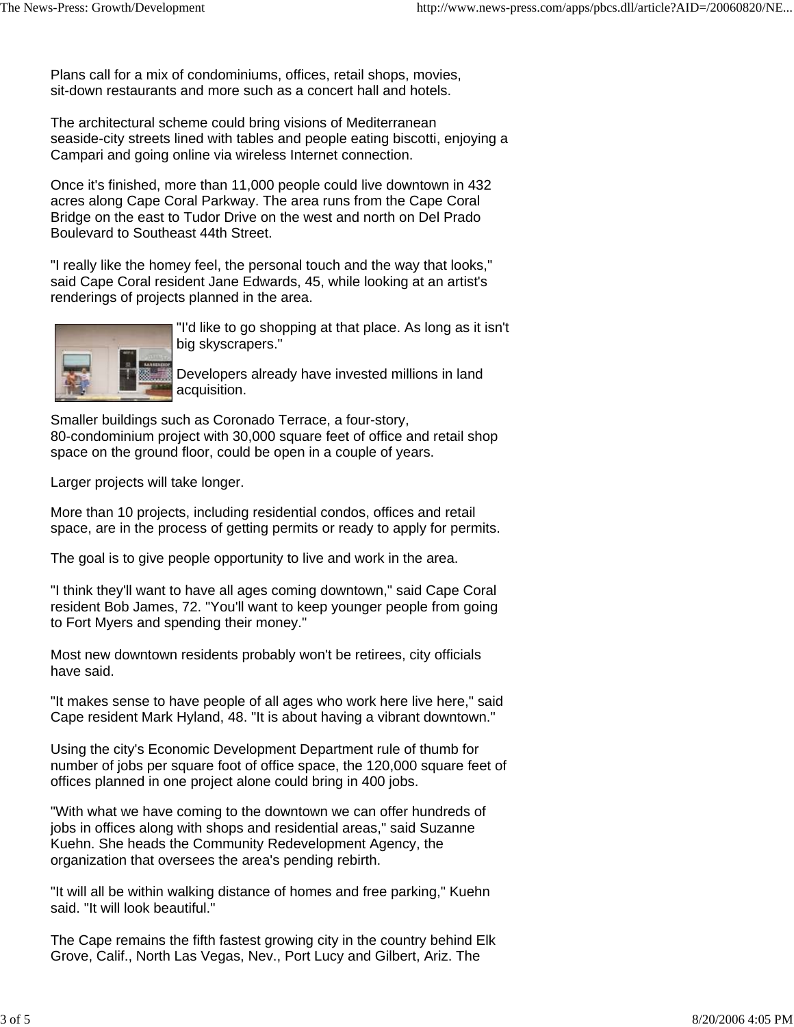Plans call for a mix of condominiums, offices, retail shops, movies, sit-down restaurants and more such as a concert hall and hotels.

The architectural scheme could bring visions of Mediterranean seaside-city streets lined with tables and people eating biscotti, enjoying a Campari and going online via wireless Internet connection.

Once it's finished, more than 11,000 people could live downtown in 432 acres along Cape Coral Parkway. The area runs from the Cape Coral Bridge on the east to Tudor Drive on the west and north on Del Prado Boulevard to Southeast 44th Street.

"I really like the homey feel, the personal touch and the way that looks," said Cape Coral resident Jane Edwards, 45, while looking at an artist's renderings of projects planned in the area.



"I'd like to go shopping at that place. As long as it isn't big skyscrapers."

Developers already have invested millions in land acquisition.

Smaller buildings such as Coronado Terrace, a four-story, 80-condominium project with 30,000 square feet of office and retail shop space on the ground floor, could be open in a couple of years.

Larger projects will take longer.

More than 10 projects, including residential condos, offices and retail space, are in the process of getting permits or ready to apply for permits.

The goal is to give people opportunity to live and work in the area.

"I think they'll want to have all ages coming downtown," said Cape Coral resident Bob James, 72. "You'll want to keep younger people from going to Fort Myers and spending their money."

Most new downtown residents probably won't be retirees, city officials have said.

"It makes sense to have people of all ages who work here live here," said Cape resident Mark Hyland, 48. "It is about having a vibrant downtown."

Using the city's Economic Development Department rule of thumb for number of jobs per square foot of office space, the 120,000 square feet of offices planned in one project alone could bring in 400 jobs.

"With what we have coming to the downtown we can offer hundreds of jobs in offices along with shops and residential areas," said Suzanne Kuehn. She heads the Community Redevelopment Agency, the organization that oversees the area's pending rebirth.

"It will all be within walking distance of homes and free parking," Kuehn said. "It will look beautiful."

The Cape remains the fifth fastest growing city in the country behind Elk Grove, Calif., North Las Vegas, Nev., Port Lucy and Gilbert, Ariz. The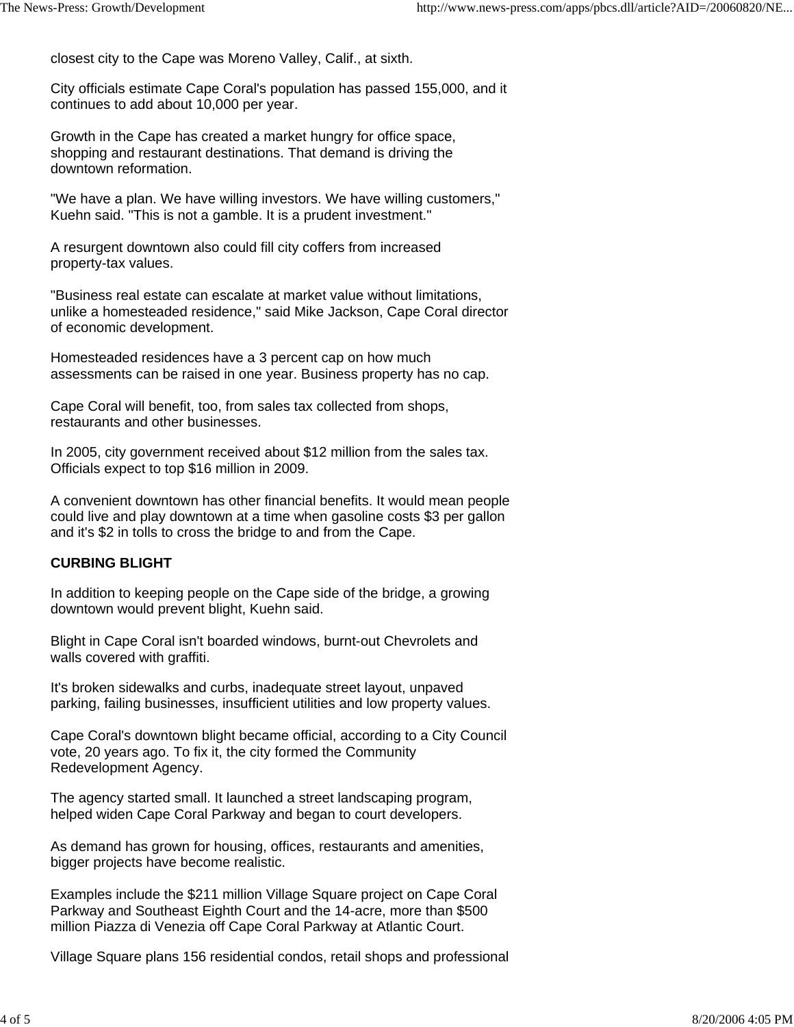closest city to the Cape was Moreno Valley, Calif., at sixth.

City officials estimate Cape Coral's population has passed 155,000, and it continues to add about 10,000 per year.

Growth in the Cape has created a market hungry for office space, shopping and restaurant destinations. That demand is driving the downtown reformation.

"We have a plan. We have willing investors. We have willing customers," Kuehn said. "This is not a gamble. It is a prudent investment."

A resurgent downtown also could fill city coffers from increased property-tax values.

"Business real estate can escalate at market value without limitations, unlike a homesteaded residence," said Mike Jackson, Cape Coral director of economic development.

Homesteaded residences have a 3 percent cap on how much assessments can be raised in one year. Business property has no cap.

Cape Coral will benefit, too, from sales tax collected from shops, restaurants and other businesses.

In 2005, city government received about \$12 million from the sales tax. Officials expect to top \$16 million in 2009.

A convenient downtown has other financial benefits. It would mean people could live and play downtown at a time when gasoline costs \$3 per gallon and it's \$2 in tolls to cross the bridge to and from the Cape.

## **CURBING BLIGHT**

In addition to keeping people on the Cape side of the bridge, a growing downtown would prevent blight, Kuehn said.

Blight in Cape Coral isn't boarded windows, burnt-out Chevrolets and walls covered with graffiti.

It's broken sidewalks and curbs, inadequate street layout, unpaved parking, failing businesses, insufficient utilities and low property values.

Cape Coral's downtown blight became official, according to a City Council vote, 20 years ago. To fix it, the city formed the Community Redevelopment Agency.

The agency started small. It launched a street landscaping program, helped widen Cape Coral Parkway and began to court developers.

As demand has grown for housing, offices, restaurants and amenities, bigger projects have become realistic.

Examples include the \$211 million Village Square project on Cape Coral Parkway and Southeast Eighth Court and the 14-acre, more than \$500 million Piazza di Venezia off Cape Coral Parkway at Atlantic Court.

Village Square plans 156 residential condos, retail shops and professional